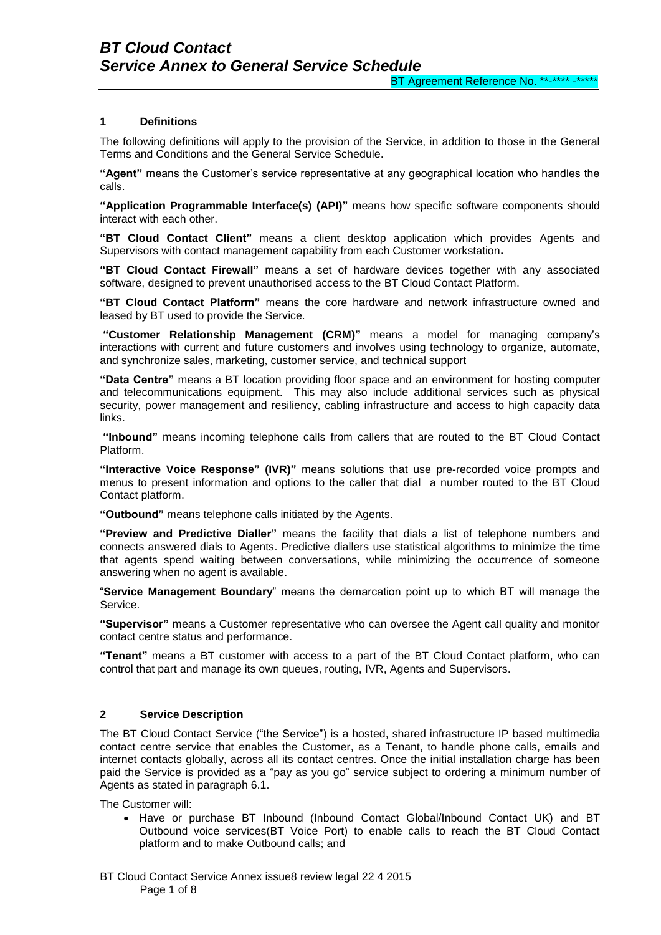## **1 Definitions**

The following definitions will apply to the provision of the Service, in addition to those in the General Terms and Conditions and the General Service Schedule.

**"Agent"** means the Customer's service representative at any geographical location who handles the calls.

**"Application Programmable Interface(s) (API)"** means how specific [software components](http://en.wikipedia.org/wiki/Software_component) should interact with each other.

**"BT Cloud Contact Client"** means a client desktop application which provides Agents and Supervisors with contact management capability from each Customer workstation**.**

**"BT Cloud Contact Firewall"** means a set of hardware devices together with any associated software, designed to prevent unauthorised access to the BT Cloud Contact Platform.

**"BT Cloud Contact Platform"** means the core hardware and network infrastructure owned and leased by BT used to provide the Service.

**"Customer Relationship Management (CRM)"** means a model for managing company's interactions with current and future [customers](http://en.wikipedia.org/wiki/Customers) and involves using technology to organize, automate, and synchronize [sales,](http://en.wikipedia.org/wiki/Sales) [marketing,](http://en.wikipedia.org/wiki/Marketing) [customer service,](http://en.wikipedia.org/wiki/Customer_service) and [technical support](http://en.wikipedia.org/wiki/Technical_support)

**"Data Centre"** means a BT location providing floor space and an environment for hosting computer and telecommunications equipment. This may also include additional services such as physical security, power management and resiliency, cabling infrastructure and access to high capacity data links.

**"Inbound"** means incoming telephone calls from callers that are routed to the BT Cloud Contact Platform.

**"Interactive Voice Response" (IVR)"** means solutions that use pre-recorded voice prompts and menus to present information and options to the caller that dial a number routed to the BT Cloud Contact platform.

**"Outbound"** means telephone calls initiated by the Agents.

**"Preview and Predictive Dialler"** means the facility that dials a list of [telephone numbers](http://en.wikipedia.org/wiki/Telephone_number) and connects answered dials to Agents. Predictive diallers use statistical [algorithms](http://en.wikipedia.org/wiki/Algorithm) to minimize the time that agents spend waiting between conversations, while minimizing the occurrence of someone answering when no agent is available.

"**Service Management Boundary**" means the demarcation point up to which BT will manage the Service.

**"Supervisor"** means a Customer representative who can oversee the Agent call quality and monitor contact centre status and performance.

**"Tenant"** means a BT customer with access to a part of the BT Cloud Contact platform, who can control that part and manage its own queues, routing, IVR, Agents and Supervisors.

#### **2 Service Description**

The BT Cloud Contact Service ("the Service") is a hosted, shared infrastructure IP based multimedia contact centre service that enables the Customer, as a Tenant, to handle phone calls, emails and internet contacts globally, across all its contact centres. Once the initial installation charge has been paid the Service is provided as a "pay as you go" service subject to ordering a minimum number of Agents as stated in paragraph 6.1.

The Customer will:

 Have or purchase BT Inbound (Inbound Contact Global/Inbound Contact UK) and BT Outbound voice services(BT Voice Port) to enable calls to reach the BT Cloud Contact platform and to make Outbound calls; and

BT Cloud Contact Service Annex issue8 review legal 22 4 2015 Page 1 of 8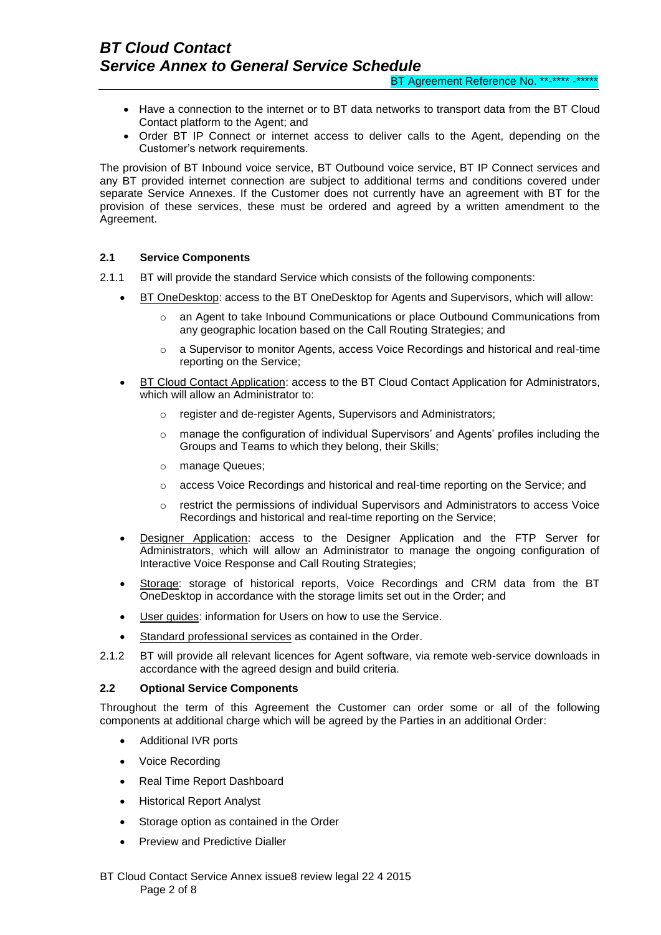BT Agreement Reference No. \*\*-\*\*\*\* -\*\*\*\*\*

- Have a connection to the internet or to BT data networks to transport data from the BT Cloud Contact platform to the Agent; and
- Order BT IP Connect or internet access to deliver calls to the Agent, depending on the Customer's network requirements.

The provision of BT Inbound voice service, BT Outbound voice service, BT IP Connect services and any BT provided internet connection are subject to additional terms and conditions covered under separate Service Annexes. If the Customer does not currently have an agreement with BT for the provision of these services, these must be ordered and agreed by a written amendment to the Agreement.

# **2.1 Service Components**

- 2.1.1 BT will provide the standard Service which consists of the following components:
	- BT OneDesktop: access to the BT OneDesktop for Agents and Supervisors, which will allow:
		- an Agent to take Inbound Communications or place Outbound Communications from any geographic location based on the Call Routing Strategies; and
		- o a Supervisor to monitor Agents, access Voice Recordings and historical and real-time reporting on the Service;
	- BT Cloud Contact Application: access to the BT Cloud Contact Application for Administrators, which will allow an Administrator to:
		- register and de-register Agents, Supervisors and Administrators;
		- o manage the configuration of individual Supervisors' and Agents' profiles including the Groups and Teams to which they belong, their Skills;
		- o manage Queues;
		- o access Voice Recordings and historical and real-time reporting on the Service; and
		- o restrict the permissions of individual Supervisors and Administrators to access Voice Recordings and historical and real-time reporting on the Service;
	- Designer Application: access to the Designer Application and the FTP Server for Administrators, which will allow an Administrator to manage the ongoing configuration of Interactive Voice Response and Call Routing Strategies;
	- Storage: storage of historical reports, Voice Recordings and CRM data from the BT OneDesktop in accordance with the storage limits set out in the Order; and
	- User guides: information for Users on how to use the Service.
	- Standard professional services as contained in the Order.
- 2.1.2 BT will provide all relevant licences for Agent software, via remote web-service downloads in accordance with the agreed design and build criteria.

### **2.2 Optional Service Components**

Throughout the term of this Agreement the Customer can order some or all of the following components at additional charge which will be agreed by the Parties in an additional Order:

- Additional IVR ports
- Voice Recording
- Real Time Report Dashboard
- **•** Historical Report Analyst
- Storage option as contained in the Order
- Preview and Predictive Dialler

BT Cloud Contact Service Annex issue8 review legal 22 4 2015 Page 2 of 8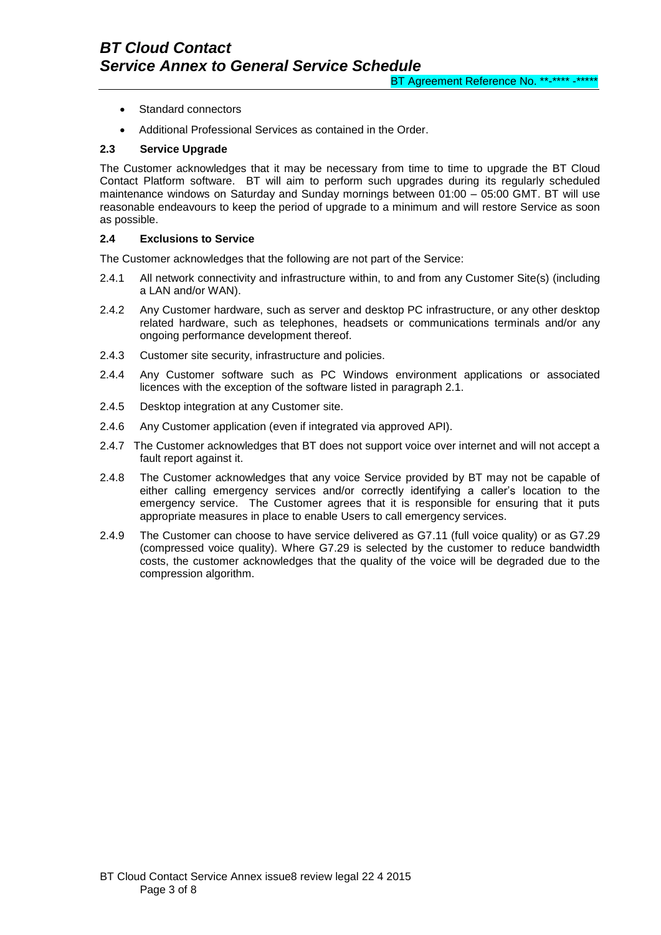- Standard connectors
- Additional Professional Services as contained in the Order.

# **2.3 Service Upgrade**

The Customer acknowledges that it may be necessary from time to time to upgrade the BT Cloud Contact Platform software. BT will aim to perform such upgrades during its regularly scheduled maintenance windows on Saturday and Sunday mornings between 01:00 – 05:00 GMT. BT will use reasonable endeavours to keep the period of upgrade to a minimum and will restore Service as soon as possible.

### **2.4 Exclusions to Service**

The Customer acknowledges that the following are not part of the Service:

- 2.4.1 All network connectivity and infrastructure within, to and from any Customer Site(s) (including a LAN and/or WAN).
- 2.4.2 Any Customer hardware, such as server and desktop PC infrastructure, or any other desktop related hardware, such as telephones, headsets or communications terminals and/or any ongoing performance development thereof.
- 2.4.3 Customer site security, infrastructure and policies.
- 2.4.4 Any Customer software such as PC Windows environment applications or associated licences with the exception of the software listed in paragraph 2.1.
- 2.4.5 Desktop integration at any Customer site.
- 2.4.6 Any Customer application (even if integrated via approved API).
- 2.4.7 The Customer acknowledges that BT does not support voice over internet and will not accept a fault report against it.
- 2.4.8 The Customer acknowledges that any voice Service provided by BT may not be capable of either calling emergency services and/or correctly identifying a caller's location to the emergency service. The Customer agrees that it is responsible for ensuring that it puts appropriate measures in place to enable Users to call emergency services.
- 2.4.9 The Customer can choose to have service delivered as G7.11 (full voice quality) or as G7.29 (compressed voice quality). Where G7.29 is selected by the customer to reduce bandwidth costs, the customer acknowledges that the quality of the voice will be degraded due to the compression algorithm.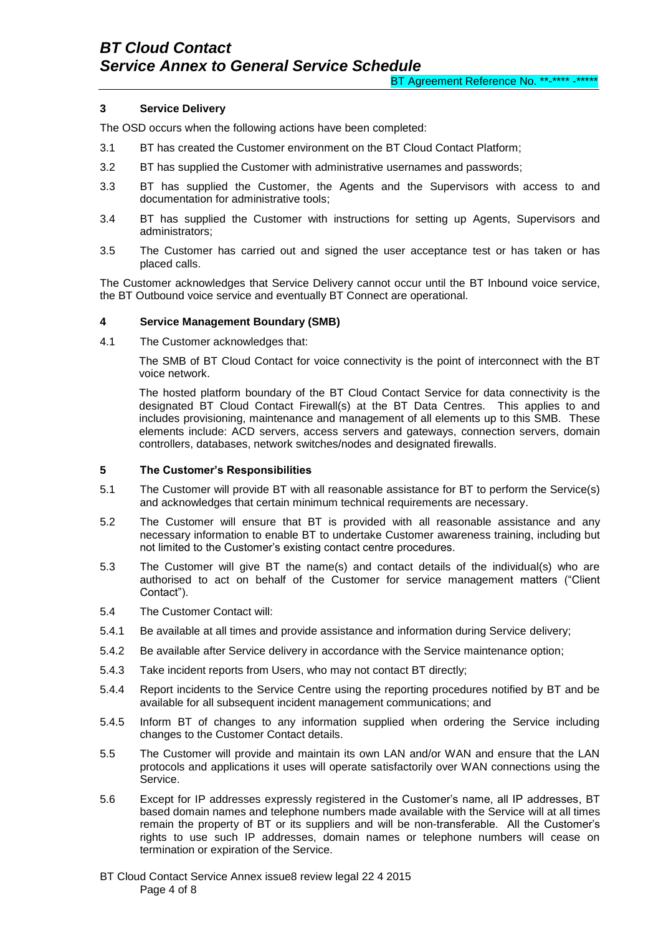# **3 Service Delivery**

The OSD occurs when the following actions have been completed:

- 3.1 BT has created the Customer environment on the BT Cloud Contact Platform;
- 3.2 BT has supplied the Customer with administrative usernames and passwords;
- 3.3 BT has supplied the Customer, the Agents and the Supervisors with access to and documentation for administrative tools;
- 3.4 BT has supplied the Customer with instructions for setting up Agents, Supervisors and administrators;
- 3.5 The Customer has carried out and signed the user acceptance test or has taken or has placed calls.

The Customer acknowledges that Service Delivery cannot occur until the BT Inbound voice service, the BT Outbound voice service and eventually BT Connect are operational.

#### **4 Service Management Boundary (SMB)**

4.1 The Customer acknowledges that:

The SMB of BT Cloud Contact for voice connectivity is the point of interconnect with the BT voice network.

The hosted platform boundary of the BT Cloud Contact Service for data connectivity is the designated BT Cloud Contact Firewall(s) at the BT Data Centres. This applies to and includes provisioning, maintenance and management of all elements up to this SMB. These elements include: ACD servers, access servers and gateways, connection servers, domain controllers, databases, network switches/nodes and designated firewalls.

# **5 The Customer's Responsibilities**

- 5.1 The Customer will provide BT with all reasonable assistance for BT to perform the Service(s) and acknowledges that certain minimum technical requirements are necessary.
- 5.2 The Customer will ensure that BT is provided with all reasonable assistance and any necessary information to enable BT to undertake Customer awareness training, including but not limited to the Customer's existing contact centre procedures.
- 5.3 The Customer will give BT the name(s) and contact details of the individual(s) who are authorised to act on behalf of the Customer for service management matters ("Client Contact").
- 5.4 The Customer Contact will:
- 5.4.1 Be available at all times and provide assistance and information during Service delivery;
- 5.4.2 Be available after Service delivery in accordance with the Service maintenance option;
- 5.4.3 Take incident reports from Users, who may not contact BT directly;
- 5.4.4 Report incidents to the Service Centre using the reporting procedures notified by BT and be available for all subsequent incident management communications; and
- 5.4.5 Inform BT of changes to any information supplied when ordering the Service including changes to the Customer Contact details.
- 5.5 The Customer will provide and maintain its own LAN and/or WAN and ensure that the LAN protocols and applications it uses will operate satisfactorily over WAN connections using the Service.
- 5.6 Except for IP addresses expressly registered in the Customer's name, all IP addresses, BT based domain names and telephone numbers made available with the Service will at all times remain the property of BT or its suppliers and will be non-transferable. All the Customer's rights to use such IP addresses, domain names or telephone numbers will cease on termination or expiration of the Service.

BT Cloud Contact Service Annex issue8 review legal 22 4 2015 Page 4 of 8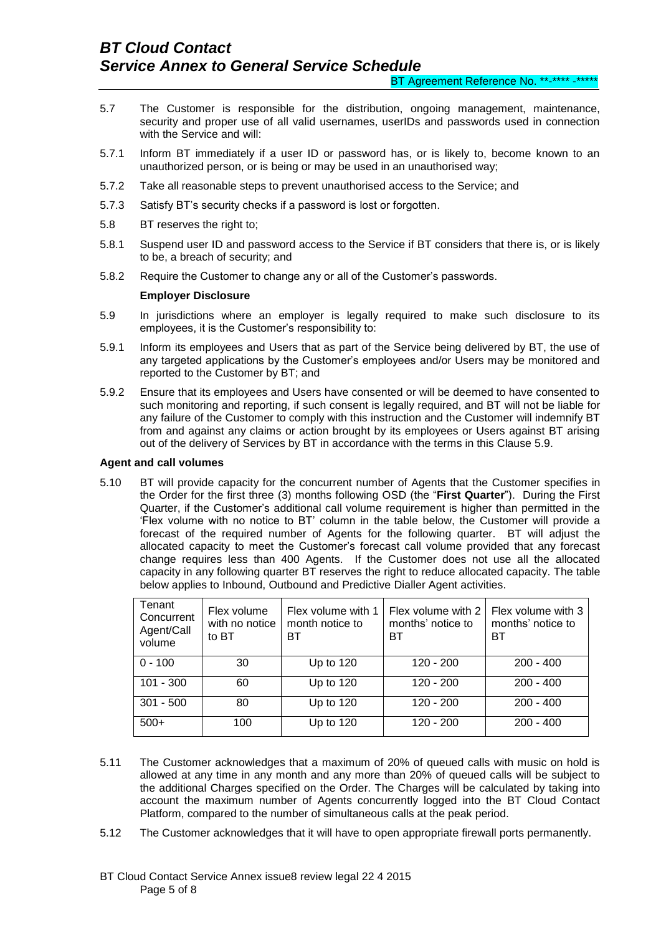- 5.7 The Customer is responsible for the distribution, ongoing management, maintenance, security and proper use of all valid usernames, userIDs and passwords used in connection with the Service and will:
- 5.7.1 Inform BT immediately if a user ID or password has, or is likely to, become known to an unauthorized person, or is being or may be used in an unauthorised way;
- 5.7.2 Take all reasonable steps to prevent unauthorised access to the Service; and
- 5.7.3 Satisfy BT's security checks if a password is lost or forgotten.
- 5.8 BT reserves the right to;
- 5.8.1 Suspend user ID and password access to the Service if BT considers that there is, or is likely to be, a breach of security; and
- 5.8.2 Require the Customer to change any or all of the Customer's passwords.

#### **Employer Disclosure**

- 5.9 In jurisdictions where an employer is legally required to make such disclosure to its employees, it is the Customer's responsibility to:
- 5.9.1 Inform its employees and Users that as part of the Service being delivered by BT, the use of any targeted applications by the Customer's employees and/or Users may be monitored and reported to the Customer by BT; and
- 5.9.2 Ensure that its employees and Users have consented or will be deemed to have consented to such monitoring and reporting, if such consent is legally required, and BT will not be liable for any failure of the Customer to comply with this instruction and the Customer will indemnify BT from and against any claims or action brought by its employees or Users against BT arising out of the delivery of Services by BT in accordance with the terms in this Clause 5.9.

#### **Agent and call volumes**

5.10 BT will provide capacity for the concurrent number of Agents that the Customer specifies in the Order for the first three (3) months following OSD (the "**First Quarter**"). During the First Quarter, if the Customer's additional call volume requirement is higher than permitted in the 'Flex volume with no notice to BT' column in the table below, the Customer will provide a forecast of the required number of Agents for the following quarter. BT will adjust the allocated capacity to meet the Customer's forecast call volume provided that any forecast change requires less than 400 Agents. If the Customer does not use all the allocated capacity in any following quarter BT reserves the right to reduce allocated capacity. The table below applies to Inbound, Outbound and Predictive Dialler Agent activities.

| Tenant<br>Concurrent<br>Agent/Call<br>volume | Flex volume<br>with no notice<br>to BT | Flex volume with 1<br>month notice to<br>ВT | Flex volume with 2<br>months' notice to<br>ВT | Flex volume with 3<br>months' notice to<br>ВT |
|----------------------------------------------|----------------------------------------|---------------------------------------------|-----------------------------------------------|-----------------------------------------------|
| $0 - 100$                                    | 30                                     | Up to $120$                                 | $120 - 200$                                   | $200 - 400$                                   |
| $101 - 300$                                  | 60                                     | Up to 120                                   | 120 - 200                                     | $200 - 400$                                   |
| $301 - 500$                                  | 80                                     | Up to 120                                   | 120 - 200                                     | $200 - 400$                                   |
| $500+$                                       | 100                                    | Up to $120$                                 | 120 - 200                                     | $200 - 400$                                   |

- 5.11 The Customer acknowledges that a maximum of 20% of queued calls with music on hold is allowed at any time in any month and any more than 20% of queued calls will be subject to the additional Charges specified on the Order. The Charges will be calculated by taking into account the maximum number of Agents concurrently logged into the BT Cloud Contact Platform, compared to the number of simultaneous calls at the peak period.
- 5.12 The Customer acknowledges that it will have to open appropriate firewall ports permanently.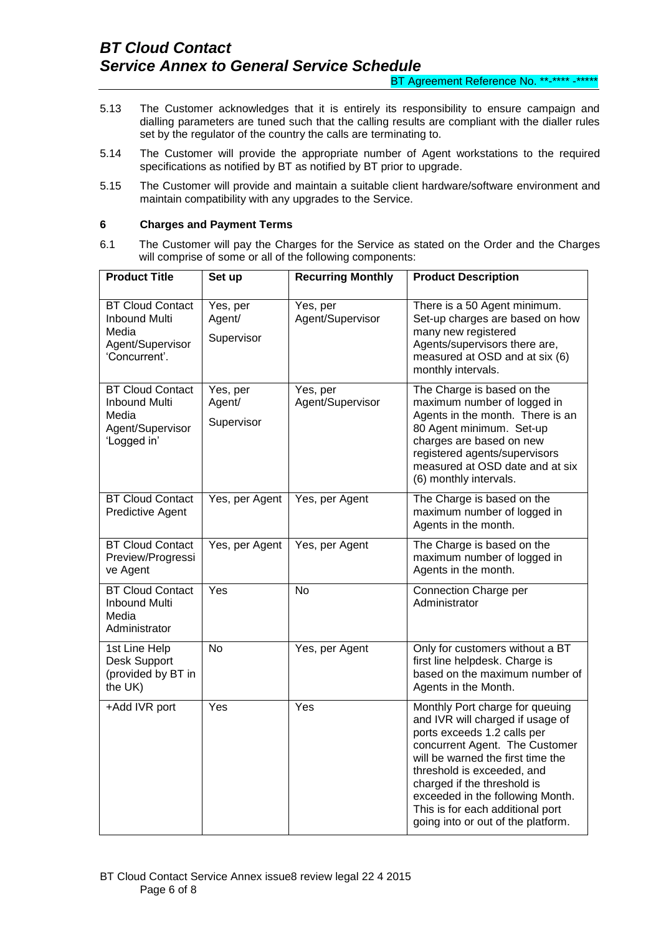BT Agreement Reference No. \*\*-\*\*\*\* -\*\*\*\*\*

- 5.13 The Customer acknowledges that it is entirely its responsibility to ensure campaign and dialling parameters are tuned such that the calling results are compliant with the dialler rules set by the regulator of the country the calls are terminating to.
- 5.14 The Customer will provide the appropriate number of Agent workstations to the required specifications as notified by BT as notified by BT prior to upgrade.
- 5.15 The Customer will provide and maintain a suitable client hardware/software environment and maintain compatibility with any upgrades to the Service.

### **6 Charges and Payment Terms**

6.1 The Customer will pay the Charges for the Service as stated on the Order and the Charges will comprise of some or all of the following components:

| <b>Product Title</b>                                                                          | Set up                           | <b>Recurring Monthly</b>     | <b>Product Description</b>                                                                                                                                                                                                                                                                                                                           |
|-----------------------------------------------------------------------------------------------|----------------------------------|------------------------------|------------------------------------------------------------------------------------------------------------------------------------------------------------------------------------------------------------------------------------------------------------------------------------------------------------------------------------------------------|
| <b>BT Cloud Contact</b><br><b>Inbound Multi</b><br>Media<br>Agent/Supervisor<br>'Concurrent'. | Yes, per<br>Agent/<br>Supervisor | Yes, per<br>Agent/Supervisor | There is a 50 Agent minimum.<br>Set-up charges are based on how<br>many new registered<br>Agents/supervisors there are,<br>measured at OSD and at six (6)<br>monthly intervals.                                                                                                                                                                      |
| <b>BT Cloud Contact</b><br><b>Inbound Multi</b><br>Media<br>Agent/Supervisor<br>'Logged in'   | Yes, per<br>Agent/<br>Supervisor | Yes, per<br>Agent/Supervisor | The Charge is based on the<br>maximum number of logged in<br>Agents in the month. There is an<br>80 Agent minimum. Set-up<br>charges are based on new<br>registered agents/supervisors<br>measured at OSD date and at six<br>(6) monthly intervals.                                                                                                  |
| <b>BT Cloud Contact</b><br><b>Predictive Agent</b>                                            | Yes, per Agent                   | Yes, per Agent               | The Charge is based on the<br>maximum number of logged in<br>Agents in the month.                                                                                                                                                                                                                                                                    |
| <b>BT Cloud Contact</b><br>Preview/Progressi<br>ve Agent                                      | Yes, per Agent                   | Yes, per Agent               | The Charge is based on the<br>maximum number of logged in<br>Agents in the month.                                                                                                                                                                                                                                                                    |
| <b>BT Cloud Contact</b><br><b>Inbound Multi</b><br>Media<br>Administrator                     | Yes                              | <b>No</b>                    | Connection Charge per<br>Administrator                                                                                                                                                                                                                                                                                                               |
| 1st Line Help<br>Desk Support<br>(provided by BT in<br>the UK)                                | <b>No</b>                        | Yes, per Agent               | Only for customers without a BT<br>first line helpdesk. Charge is<br>based on the maximum number of<br>Agents in the Month.                                                                                                                                                                                                                          |
| +Add IVR port                                                                                 | Yes                              | Yes                          | Monthly Port charge for queuing<br>and IVR will charged if usage of<br>ports exceeds 1.2 calls per<br>concurrent Agent. The Customer<br>will be warned the first time the<br>threshold is exceeded, and<br>charged if the threshold is<br>exceeded in the following Month.<br>This is for each additional port<br>going into or out of the platform. |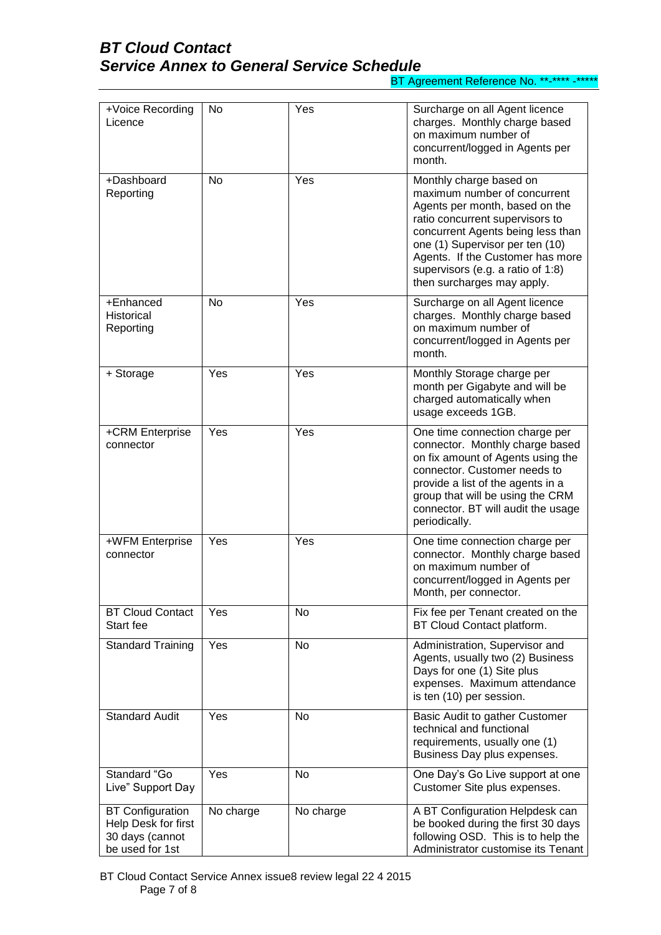# *BT Cloud Contact Service Annex to General Service Schedule*

BT Agreement Reference No. \*\*-\*\*\*\* -\*\*\*\*\*

| +Voice Recording<br>Licence                                                          | No        | Yes       | Surcharge on all Agent licence<br>charges. Monthly charge based<br>on maximum number of<br>concurrent/logged in Agents per<br>month.                                                                                                                                                                        |
|--------------------------------------------------------------------------------------|-----------|-----------|-------------------------------------------------------------------------------------------------------------------------------------------------------------------------------------------------------------------------------------------------------------------------------------------------------------|
| +Dashboard<br>Reporting                                                              | <b>No</b> | Yes       | Monthly charge based on<br>maximum number of concurrent<br>Agents per month, based on the<br>ratio concurrent supervisors to<br>concurrent Agents being less than<br>one (1) Supervisor per ten (10)<br>Agents. If the Customer has more<br>supervisors (e.g. a ratio of 1:8)<br>then surcharges may apply. |
| +Enhanced<br><b>Historical</b><br>Reporting                                          | No        | Yes       | Surcharge on all Agent licence<br>charges. Monthly charge based<br>on maximum number of<br>concurrent/logged in Agents per<br>month.                                                                                                                                                                        |
| + Storage                                                                            | Yes       | Yes       | Monthly Storage charge per<br>month per Gigabyte and will be<br>charged automatically when<br>usage exceeds 1GB.                                                                                                                                                                                            |
| +CRM Enterprise<br>connector                                                         | Yes       | Yes       | One time connection charge per<br>connector. Monthly charge based<br>on fix amount of Agents using the<br>connector. Customer needs to<br>provide a list of the agents in a<br>group that will be using the CRM<br>connector. BT will audit the usage<br>periodically.                                      |
| +WFM Enterprise<br>connector                                                         | Yes       | Yes       | One time connection charge per<br>connector. Monthly charge based<br>on maximum number of<br>concurrent/logged in Agents per<br>Month, per connector.                                                                                                                                                       |
| <b>BT Cloud Contact</b><br>Start fee                                                 | Yes       | No        | Fix fee per Tenant created on the<br>BT Cloud Contact platform.                                                                                                                                                                                                                                             |
| <b>Standard Training</b>                                                             | Yes       | No        | Administration, Supervisor and<br>Agents, usually two (2) Business<br>Days for one (1) Site plus<br>expenses. Maximum attendance<br>is ten (10) per session.                                                                                                                                                |
| <b>Standard Audit</b>                                                                | Yes       | No        | Basic Audit to gather Customer<br>technical and functional<br>requirements, usually one (1)<br>Business Day plus expenses.                                                                                                                                                                                  |
| Standard "Go<br>Live" Support Day                                                    | Yes       | No        | One Day's Go Live support at one<br>Customer Site plus expenses.                                                                                                                                                                                                                                            |
| <b>BT Configuration</b><br>Help Desk for first<br>30 days (cannot<br>be used for 1st | No charge | No charge | A BT Configuration Helpdesk can<br>be booked during the first 30 days<br>following OSD. This is to help the<br>Administrator customise its Tenant                                                                                                                                                           |